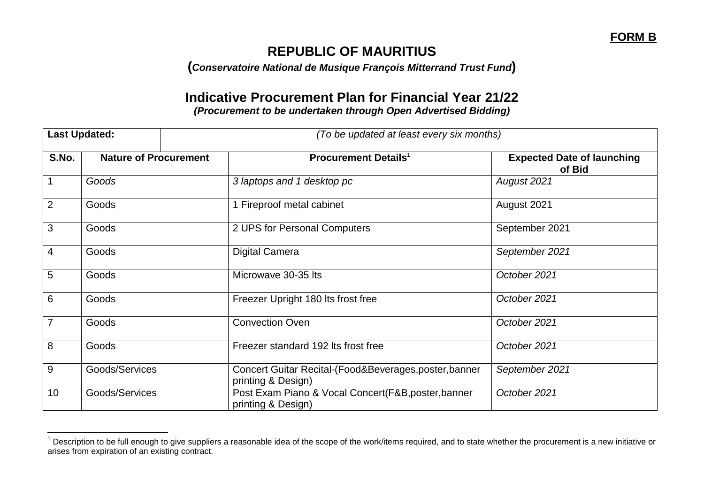## **REPUBLIC OF MAURITIUS**

**(***Conservatoire National de Musique François Mitterrand Trust Fund***)**

## **Indicative Procurement Plan for Financial Year 21/22** *(Procurement to be undertaken through Open Advertised Bidding)*

| <b>Last Updated:</b> |                              |  | (To be updated at least every six months)                                    |                                             |  |
|----------------------|------------------------------|--|------------------------------------------------------------------------------|---------------------------------------------|--|
| S.No.                | <b>Nature of Procurement</b> |  | <b>Procurement Details<sup>1</sup></b>                                       | <b>Expected Date of launching</b><br>of Bid |  |
|                      | Goods                        |  | 3 laptops and 1 desktop pc                                                   | August 2021                                 |  |
| 2                    | Goods                        |  | 1 Fireproof metal cabinet                                                    | August 2021                                 |  |
| 3                    | Goods                        |  | 2 UPS for Personal Computers                                                 | September 2021                              |  |
| 4                    | Goods                        |  | <b>Digital Camera</b>                                                        | September 2021                              |  |
| 5                    | Goods                        |  | Microwave 30-35 Its                                                          | October 2021                                |  |
| 6                    | Goods                        |  | Freezer Upright 180 Its frost free                                           | October 2021                                |  |
| $\overline{7}$       | Goods                        |  | <b>Convection Oven</b>                                                       | October 2021                                |  |
| 8                    | Goods                        |  | Freezer standard 192 Its frost free                                          | October 2021                                |  |
| 9                    | Goods/Services               |  | Concert Guitar Recital-(Food&Beverages, poster, banner<br>printing & Design) | September 2021                              |  |
| 10                   | Goods/Services               |  | Post Exam Piano & Vocal Concert(F&B,poster,banner<br>printing & Design)      | October 2021                                |  |

 $1$  Description to be full enough to give suppliers a reasonable idea of the scope of the work/items required, and to state whether the procurement is a new initiative or arises from expiration of an existing contract.

 $\overline{a}$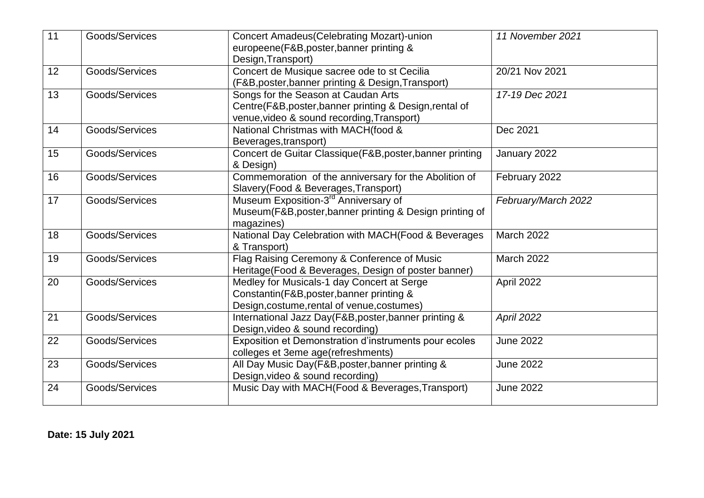| 11              | Goods/Services | <b>Concert Amadeus (Celebrating Mozart)-union</b><br>europeene(F&B,poster,banner printing &<br>Design, Transport)                         | 11 November 2021    |
|-----------------|----------------|-------------------------------------------------------------------------------------------------------------------------------------------|---------------------|
| 12 <sup>2</sup> | Goods/Services | Concert de Musique sacree ode to st Cecilia<br>(F&B, poster, banner printing & Design, Transport)                                         | 20/21 Nov 2021      |
| 13              | Goods/Services | Songs for the Season at Caudan Arts<br>Centre(F&B,poster,banner printing & Design,rental of<br>venue, video & sound recording, Transport) | 17-19 Dec 2021      |
| 14              | Goods/Services | National Christmas with MACH(food &<br>Beverages, transport)                                                                              | Dec 2021            |
| 15              | Goods/Services | Concert de Guitar Classique(F&B,poster,banner printing<br>& Design)                                                                       | January 2022        |
| 16              | Goods/Services | Commemoration of the anniversary for the Abolition of<br>Slavery(Food & Beverages, Transport)                                             | February 2022       |
| 17              | Goods/Services | Museum Exposition-3 <sup>rd</sup> Anniversary of<br>Museum(F&B, poster, banner printing & Design printing of<br>magazines)                | February/March 2022 |
| 18              | Goods/Services | National Day Celebration with MACH(Food & Beverages<br>& Transport)                                                                       | March 2022          |
| 19              | Goods/Services | Flag Raising Ceremony & Conference of Music<br>Heritage(Food & Beverages, Design of poster banner)                                        | March 2022          |
| 20              | Goods/Services | Medley for Musicals-1 day Concert at Serge<br>Constantin(F&B,poster,banner printing &<br>Design, costume, rental of venue, costumes)      | April 2022          |
| 21              | Goods/Services | International Jazz Day(F&B,poster,banner printing &<br>Design, video & sound recording)                                                   | <b>April 2022</b>   |
| 22              | Goods/Services | Exposition et Demonstration d'instruments pour ecoles<br>colleges et 3eme age(refreshments)                                               | <b>June 2022</b>    |
| 23              | Goods/Services | All Day Music Day(F&B, poster, banner printing &<br>Design, video & sound recording)                                                      | <b>June 2022</b>    |
| 24              | Goods/Services | Music Day with MACH(Food & Beverages, Transport)                                                                                          | <b>June 2022</b>    |

**Date: 15 July 2021**